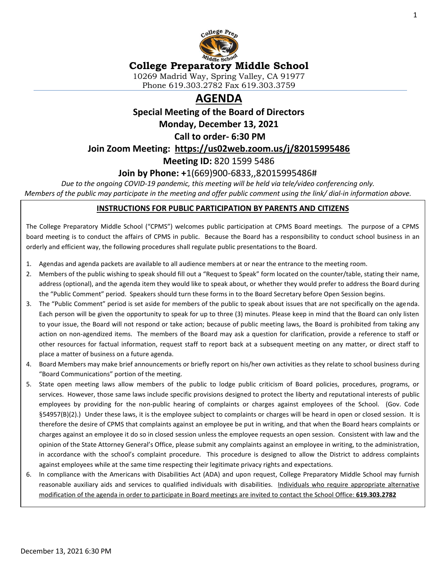

## **College Preparatory Middle School**

10269 Madrid Way, Spring Valley, CA 91977 Phone 619.303.2782 Fax 619.303.3759

# **AGENDA**

**Special Meeting of the Board of Directors**

**Monday, December 13, 2021**

**Call to order- 6:30 PM** 

**Join Zoom Meeting: <https://us02web.zoom.us/j/82015995486>**

**Meeting ID:** 820 1599 5486

### **Join by Phone: +**1(669)900-6833,,82015995486#

*Due to the ongoing COVID-19 pandemic, this meeting will be held via tele/video conferencing only. Members of the public may participate in the meeting and offer public comment using the link/ dial-in information above.*

#### **INSTRUCTIONS FOR PUBLIC PARTICIPATION BY PARENTS AND CITIZENS**

The College Preparatory Middle School ("CPMS") welcomes public participation at CPMS Board meetings. The purpose of a CPMS board meeting is to conduct the affairs of CPMS in public. Because the Board has a responsibility to conduct school business in an orderly and efficient way, the following procedures shall regulate public presentations to the Board.

- 1. Agendas and agenda packets are available to all audience members at or near the entrance to the meeting room.
- 2. Members of the public wishing to speak should fill out a "Request to Speak" form located on the counter/table, stating their name, address (optional), and the agenda item they would like to speak about, or whether they would prefer to address the Board during the "Public Comment" period. Speakers should turn these forms in to the Board Secretary before Open Session begins.
- 3. The "Public Comment" period is set aside for members of the public to speak about issues that are not specifically on the agenda. Each person will be given the opportunity to speak for up to three (3) minutes. Please keep in mind that the Board can only listen to your issue, the Board will not respond or take action; because of public meeting laws, the Board is prohibited from taking any action on non-agendized items. The members of the Board may ask a question for clarification, provide a reference to staff or other resources for factual information, request staff to report back at a subsequent meeting on any matter, or direct staff to place a matter of business on a future agenda.
- 4. Board Members may make brief announcements or briefly report on his/her own activities as they relate to school business during "Board Communications" portion of the meeting.
- 5. State open meeting laws allow members of the public to lodge public criticism of Board policies, procedures, programs, or services. However, those same laws include specific provisions designed to protect the liberty and reputational interests of public employees by providing for the non-public hearing of complaints or charges against employees of the School. (Gov. Code §54957(B)(2).) Under these laws, it is the employee subject to complaints or charges will be heard in open or closed session. It is therefore the desire of CPMS that complaints against an employee be put in writing, and that when the Board hears complaints or charges against an employee it do so in closed session unless the employee requests an open session. Consistent with law and the opinion of the State Attorney General's Office, please submit any complaints against an employee in writing, to the administration, in accordance with the school's complaint procedure. This procedure is designed to allow the District to address complaints against employees while at the same time respecting their legitimate privacy rights and expectations.
- 6. In compliance with the Americans with Disabilities Act (ADA) and upon request, College Preparatory Middle School may furnish reasonable auxiliary aids and services to qualified individuals with disabilities. Individuals who require appropriate alternative modification of the agenda in order to participate in Board meetings are invited to contact the School Office: **619.303.2782**